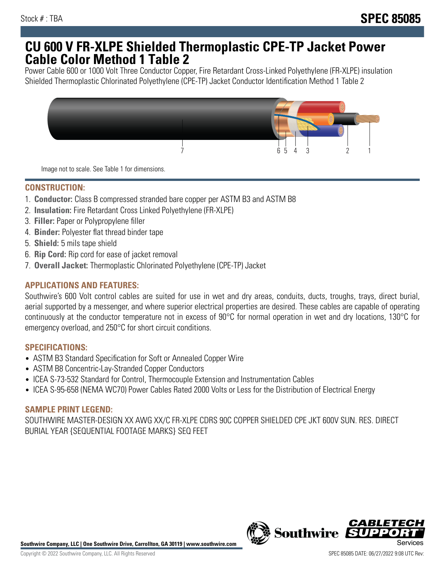## **CU 600 V FR-XLPE Shielded Thermoplastic CPE-TP Jacket Power Cable Color Method 1 Table 2**

Power Cable 600 or 1000 Volt Three Conductor Copper, Fire Retardant Cross-Linked Polyethylene (FR-XLPE) insulation Shielded Thermoplastic Chlorinated Polyethylene (CPE-TP) Jacket Conductor Identification Method 1 Table 2



Image not to scale. See Table 1 for dimensions.

## **CONSTRUCTION:**

- 1. **Conductor:** Class B compressed stranded bare copper per ASTM B3 and ASTM B8
- 2. **Insulation:** Fire Retardant Cross Linked Polyethylene (FR-XLPE)
- 3. **Filler:** Paper or Polypropylene filler
- 4. **Binder:** Polyester flat thread binder tape
- 5. **Shield:** 5 mils tape shield
- 6. **Rip Cord:** Rip cord for ease of jacket removal
- 7. **Overall Jacket:** Thermoplastic Chlorinated Polyethylene (CPE-TP) Jacket

### **APPLICATIONS AND FEATURES:**

Southwire's 600 Volt control cables are suited for use in wet and dry areas, conduits, ducts, troughs, trays, direct burial, aerial supported by a messenger, and where superior electrical properties are desired. These cables are capable of operating continuously at the conductor temperature not in excess of 90°C for normal operation in wet and dry locations, 130°C for emergency overload, and 250°C for short circuit conditions.

#### **SPECIFICATIONS:**

- ASTM B3 Standard Specification for Soft or Annealed Copper Wire
- ASTM B8 Concentric-Lay-Stranded Copper Conductors
- ICEA S-73-532 Standard for Control, Thermocouple Extension and Instrumentation Cables
- ICEA S-95-658 (NEMA WC70) Power Cables Rated 2000 Volts or Less for the Distribution of Electrical Energy

#### **SAMPLE PRINT LEGEND:**

SOUTHWIRE MASTER-DESIGN XX AWG XX/C FR-XLPE CDRS 90C COPPER SHIELDED CPE JKT 600V SUN. RES. DIRECT BURIAL YEAR {SEQUENTIAL FOOTAGE MARKS} SEQ FEET